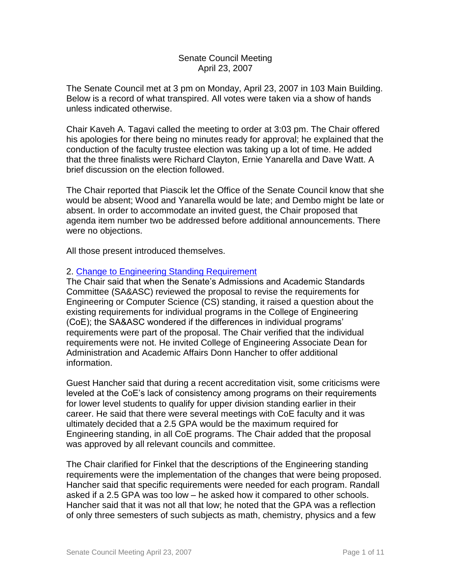#### Senate Council Meeting April 23, 2007

The Senate Council met at 3 pm on Monday, April 23, 2007 in 103 Main Building. Below is a record of what transpired. All votes were taken via a show of hands unless indicated otherwise.

Chair Kaveh A. Tagavi called the meeting to order at 3:03 pm. The Chair offered his apologies for there being no minutes ready for approval; he explained that the conduction of the faculty trustee election was taking up a lot of time. He added that the three finalists were Richard Clayton, Ernie Yanarella and Dave Watt. A brief discussion on the election followed.

The Chair reported that Piascik let the Office of the Senate Council know that she would be absent; Wood and Yanarella would be late; and Dembo might be late or absent. In order to accommodate an invited guest, the Chair proposed that agenda item number two be addressed before additional announcements. There were no objections.

All those present introduced themselves.

# 2. [Change to Engineering Standing Requirement](http://www.uky.edu/USC/New/files/20070423/Engineering%20Standing_Complete.pdf)

The Chair said that when the Senate's Admissions and Academic Standards Committee (SA&ASC) reviewed the proposal to revise the requirements for Engineering or Computer Science (CS) standing, it raised a question about the existing requirements for individual programs in the College of Engineering (CoE); the SA&ASC wondered if the differences in individual programs' requirements were part of the proposal. The Chair verified that the individual requirements were not. He invited College of Engineering Associate Dean for Administration and Academic Affairs Donn Hancher to offer additional information.

Guest Hancher said that during a recent accreditation visit, some criticisms were leveled at the CoE's lack of consistency among programs on their requirements for lower level students to qualify for upper division standing earlier in their career. He said that there were several meetings with CoE faculty and it was ultimately decided that a 2.5 GPA would be the maximum required for Engineering standing, in all CoE programs. The Chair added that the proposal was approved by all relevant councils and committee.

The Chair clarified for Finkel that the descriptions of the Engineering standing requirements were the implementation of the changes that were being proposed. Hancher said that specific requirements were needed for each program. Randall asked if a 2.5 GPA was too low – he asked how it compared to other schools. Hancher said that it was not all that low; he noted that the GPA was a reflection of only three semesters of such subjects as math, chemistry, physics and a few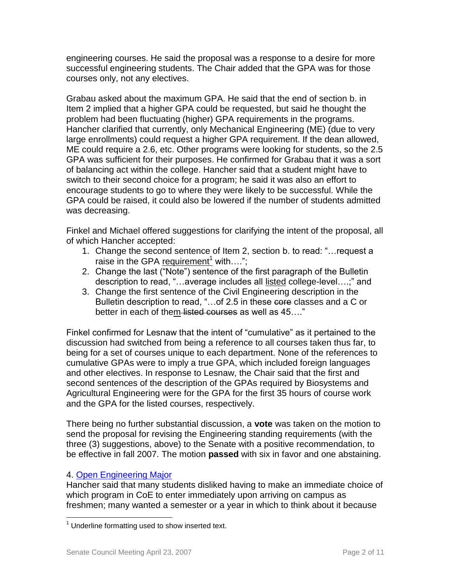engineering courses. He said the proposal was a response to a desire for more successful engineering students. The Chair added that the GPA was for those courses only, not any electives.

Grabau asked about the maximum GPA. He said that the end of section b. in Item 2 implied that a higher GPA could be requested, but said he thought the problem had been fluctuating (higher) GPA requirements in the programs. Hancher clarified that currently, only Mechanical Engineering (ME) (due to very large enrollments) could request a higher GPA requirement. If the dean allowed, ME could require a 2.6, etc. Other programs were looking for students, so the 2.5 GPA was sufficient for their purposes. He confirmed for Grabau that it was a sort of balancing act within the college. Hancher said that a student might have to switch to their second choice for a program; he said it was also an effort to encourage students to go to where they were likely to be successful. While the GPA could be raised, it could also be lowered if the number of students admitted was decreasing.

Finkel and Michael offered suggestions for clarifying the intent of the proposal, all of which Hancher accepted:

- 1. Change the second sentence of Item 2, section b. to read: "…request a raise in the GPA requirement<sup>1</sup> with....";
- 2. Change the last ("Note") sentence of the first paragraph of the Bulletin description to read, "…average includes all listed college-level….;" and
- 3. Change the first sentence of the Civil Engineering description in the Bulletin description to read, "...of 2.5 in these core classes and a C or better in each of them listed courses as well as 45...."

Finkel confirmed for Lesnaw that the intent of "cumulative" as it pertained to the discussion had switched from being a reference to all courses taken thus far, to being for a set of courses unique to each department. None of the references to cumulative GPAs were to imply a true GPA, which included foreign languages and other electives. In response to Lesnaw, the Chair said that the first and second sentences of the description of the GPAs required by Biosystems and Agricultural Engineering were for the GPA for the first 35 hours of course work and the GPA for the listed courses, respectively.

There being no further substantial discussion, a **vote** was taken on the motion to send the proposal for revising the Engineering standing requirements (with the three (3) suggestions, above) to the Senate with a positive recommendation, to be effective in fall 2007. The motion **passed** with six in favor and one abstaining.

# 4. [Open Engineering Major](http://www.uky.edu/USC/New/files/20070423/General%20Engineering%20Open%20Mjr_Complete.pdf)

Hancher said that many students disliked having to make an immediate choice of which program in CoE to enter immediately upon arriving on campus as freshmen; many wanted a semester or a year in which to think about it because

 $\overline{a}$  $1$  Underline formatting used to show inserted text.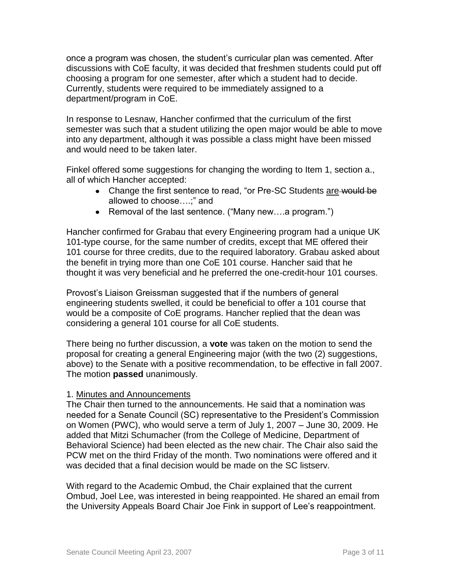once a program was chosen, the student's curricular plan was cemented. After discussions with CoE faculty, it was decided that freshmen students could put off choosing a program for one semester, after which a student had to decide. Currently, students were required to be immediately assigned to a department/program in CoE.

In response to Lesnaw, Hancher confirmed that the curriculum of the first semester was such that a student utilizing the open major would be able to move into any department, although it was possible a class might have been missed and would need to be taken later.

Finkel offered some suggestions for changing the wording to Item 1, section a., all of which Hancher accepted:

- Change the first sentence to read, "or Pre-SC Students are would be allowed to choose….;" and
- Removal of the last sentence. ("Many new….a program.")

Hancher confirmed for Grabau that every Engineering program had a unique UK 101-type course, for the same number of credits, except that ME offered their 101 course for three credits, due to the required laboratory. Grabau asked about the benefit in trying more than one CoE 101 course. Hancher said that he thought it was very beneficial and he preferred the one-credit-hour 101 courses.

Provost's Liaison Greissman suggested that if the numbers of general engineering students swelled, it could be beneficial to offer a 101 course that would be a composite of CoE programs. Hancher replied that the dean was considering a general 101 course for all CoE students.

There being no further discussion, a **vote** was taken on the motion to send the proposal for creating a general Engineering major (with the two (2) suggestions, above) to the Senate with a positive recommendation, to be effective in fall 2007. The motion **passed** unanimously.

# 1. Minutes and Announcements

The Chair then turned to the announcements. He said that a nomination was needed for a Senate Council (SC) representative to the President's Commission on Women (PWC), who would serve a term of July 1, 2007 – June 30, 2009. He added that Mitzi Schumacher (from the College of Medicine, Department of Behavioral Science) had been elected as the new chair. The Chair also said the PCW met on the third Friday of the month. Two nominations were offered and it was decided that a final decision would be made on the SC listserv.

With regard to the Academic Ombud, the Chair explained that the current Ombud, Joel Lee, was interested in being reappointed. He shared an email from the University Appeals Board Chair Joe Fink in support of Lee's reappointment.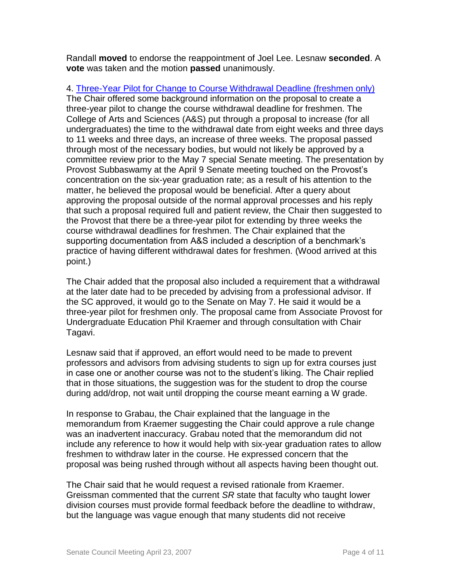Randall **moved** to endorse the reappointment of Joel Lee. Lesnaw **seconded**. A **vote** was taken and the motion **passed** unanimously.

4. [Three-Year Pilot for Change to Course Withdrawal Deadline \(freshmen only\)](http://www.uky.edu/USC/New/files/20070423/Pilot%20for%20Change%20in%20Crse%20Withdrawal%20Deadlines.pdf) The Chair offered some background information on the proposal to create a three-year pilot to change the course withdrawal deadline for freshmen. The College of Arts and Sciences (A&S) put through a proposal to increase (for all undergraduates) the time to the withdrawal date from eight weeks and three days to 11 weeks and three days, an increase of three weeks. The proposal passed through most of the necessary bodies, but would not likely be approved by a committee review prior to the May 7 special Senate meeting. The presentation by Provost Subbaswamy at the April 9 Senate meeting touched on the Provost's concentration on the six-year graduation rate; as a result of his attention to the matter, he believed the proposal would be beneficial. After a query about approving the proposal outside of the normal approval processes and his reply that such a proposal required full and patient review, the Chair then suggested to the Provost that there be a three-year pilot for extending by three weeks the course withdrawal deadlines for freshmen. The Chair explained that the supporting documentation from A&S included a description of a benchmark's practice of having different withdrawal dates for freshmen. (Wood arrived at this point.)

The Chair added that the proposal also included a requirement that a withdrawal at the later date had to be preceded by advising from a professional advisor. If the SC approved, it would go to the Senate on May 7. He said it would be a three-year pilot for freshmen only. The proposal came from Associate Provost for Undergraduate Education Phil Kraemer and through consultation with Chair Tagavi.

Lesnaw said that if approved, an effort would need to be made to prevent professors and advisors from advising students to sign up for extra courses just in case one or another course was not to the student's liking. The Chair replied that in those situations, the suggestion was for the student to drop the course during add/drop, not wait until dropping the course meant earning a W grade.

In response to Grabau, the Chair explained that the language in the memorandum from Kraemer suggesting the Chair could approve a rule change was an inadvertent inaccuracy. Grabau noted that the memorandum did not include any reference to how it would help with six-year graduation rates to allow freshmen to withdraw later in the course. He expressed concern that the proposal was being rushed through without all aspects having been thought out.

The Chair said that he would request a revised rationale from Kraemer. Greissman commented that the current *SR* state that faculty who taught lower division courses must provide formal feedback before the deadline to withdraw, but the language was vague enough that many students did not receive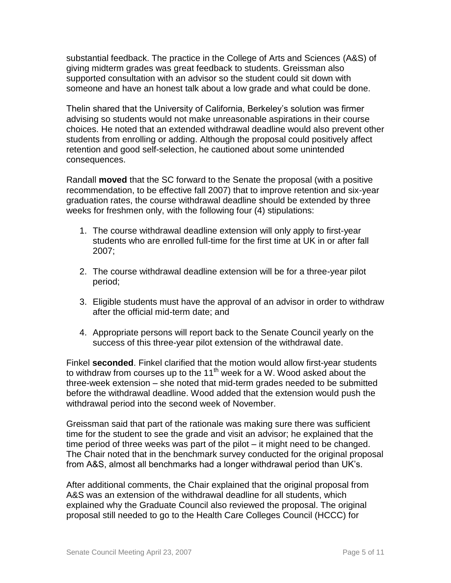substantial feedback. The practice in the College of Arts and Sciences (A&S) of giving midterm grades was great feedback to students. Greissman also supported consultation with an advisor so the student could sit down with someone and have an honest talk about a low grade and what could be done.

Thelin shared that the University of California, Berkeley's solution was firmer advising so students would not make unreasonable aspirations in their course choices. He noted that an extended withdrawal deadline would also prevent other students from enrolling or adding. Although the proposal could positively affect retention and good self-selection, he cautioned about some unintended consequences.

Randall **moved** that the SC forward to the Senate the proposal (with a positive recommendation, to be effective fall 2007) that to improve retention and six-year graduation rates, the course withdrawal deadline should be extended by three weeks for freshmen only, with the following four (4) stipulations:

- 1. The course withdrawal deadline extension will only apply to first-year students who are enrolled full-time for the first time at UK in or after fall 2007;
- 2. The course withdrawal deadline extension will be for a three-year pilot period;
- 3. Eligible students must have the approval of an advisor in order to withdraw after the official mid-term date; and
- 4. Appropriate persons will report back to the Senate Council yearly on the success of this three-year pilot extension of the withdrawal date.

Finkel **seconded**. Finkel clarified that the motion would allow first-year students to withdraw from courses up to the  $11<sup>th</sup>$  week for a W. Wood asked about the three-week extension – she noted that mid-term grades needed to be submitted before the withdrawal deadline. Wood added that the extension would push the withdrawal period into the second week of November.

Greissman said that part of the rationale was making sure there was sufficient time for the student to see the grade and visit an advisor; he explained that the time period of three weeks was part of the pilot – it might need to be changed. The Chair noted that in the benchmark survey conducted for the original proposal from A&S, almost all benchmarks had a longer withdrawal period than UK's.

After additional comments, the Chair explained that the original proposal from A&S was an extension of the withdrawal deadline for all students, which explained why the Graduate Council also reviewed the proposal. The original proposal still needed to go to the Health Care Colleges Council (HCCC) for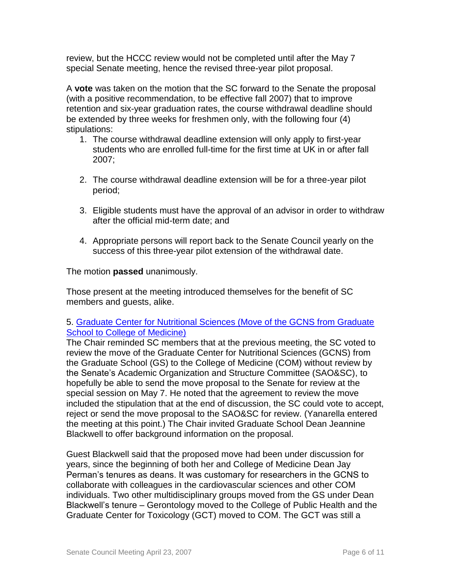review, but the HCCC review would not be completed until after the May 7 special Senate meeting, hence the revised three-year pilot proposal.

A **vote** was taken on the motion that the SC forward to the Senate the proposal (with a positive recommendation, to be effective fall 2007) that to improve retention and six-year graduation rates, the course withdrawal deadline should be extended by three weeks for freshmen only, with the following four (4) stipulations:

- 1. The course withdrawal deadline extension will only apply to first-year students who are enrolled full-time for the first time at UK in or after fall 2007;
- 2. The course withdrawal deadline extension will be for a three-year pilot period;
- 3. Eligible students must have the approval of an advisor in order to withdraw after the official mid-term date; and
- 4. Appropriate persons will report back to the Senate Council yearly on the success of this three-year pilot extension of the withdrawal date.

The motion **passed** unanimously.

Those present at the meeting introduced themselves for the benefit of SC members and guests, alike.

# 5. [Graduate Center for Nutritional Sciences \(Move of the GCNS from Graduate](http://www.uky.edu/USC/New/files/20070423/GCNS%20Move%20from%20GS%20to%20COM_Complete.pdf)  [School to College of Medicine\)](http://www.uky.edu/USC/New/files/20070423/GCNS%20Move%20from%20GS%20to%20COM_Complete.pdf)

The Chair reminded SC members that at the previous meeting, the SC voted to review the move of the Graduate Center for Nutritional Sciences (GCNS) from the Graduate School (GS) to the College of Medicine (COM) without review by the Senate's Academic Organization and Structure Committee (SAO&SC), to hopefully be able to send the move proposal to the Senate for review at the special session on May 7. He noted that the agreement to review the move included the stipulation that at the end of discussion, the SC could vote to accept, reject or send the move proposal to the SAO&SC for review. (Yanarella entered the meeting at this point.) The Chair invited Graduate School Dean Jeannine Blackwell to offer background information on the proposal.

Guest Blackwell said that the proposed move had been under discussion for years, since the beginning of both her and College of Medicine Dean Jay Perman's tenures as deans. It was customary for researchers in the GCNS to collaborate with colleagues in the cardiovascular sciences and other COM individuals. Two other multidisciplinary groups moved from the GS under Dean Blackwell's tenure – Gerontology moved to the College of Public Health and the Graduate Center for Toxicology (GCT) moved to COM. The GCT was still a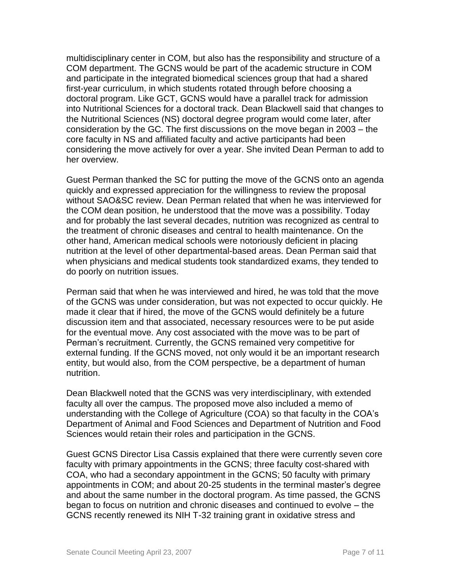multidisciplinary center in COM, but also has the responsibility and structure of a COM department. The GCNS would be part of the academic structure in COM and participate in the integrated biomedical sciences group that had a shared first-year curriculum, in which students rotated through before choosing a doctoral program. Like GCT, GCNS would have a parallel track for admission into Nutritional Sciences for a doctoral track. Dean Blackwell said that changes to the Nutritional Sciences (NS) doctoral degree program would come later, after consideration by the GC. The first discussions on the move began in 2003 – the core faculty in NS and affiliated faculty and active participants had been considering the move actively for over a year. She invited Dean Perman to add to her overview.

Guest Perman thanked the SC for putting the move of the GCNS onto an agenda quickly and expressed appreciation for the willingness to review the proposal without SAO&SC review. Dean Perman related that when he was interviewed for the COM dean position, he understood that the move was a possibility. Today and for probably the last several decades, nutrition was recognized as central to the treatment of chronic diseases and central to health maintenance. On the other hand, American medical schools were notoriously deficient in placing nutrition at the level of other departmental-based areas. Dean Perman said that when physicians and medical students took standardized exams, they tended to do poorly on nutrition issues.

Perman said that when he was interviewed and hired, he was told that the move of the GCNS was under consideration, but was not expected to occur quickly. He made it clear that if hired, the move of the GCNS would definitely be a future discussion item and that associated, necessary resources were to be put aside for the eventual move. Any cost associated with the move was to be part of Perman's recruitment. Currently, the GCNS remained very competitive for external funding. If the GCNS moved, not only would it be an important research entity, but would also, from the COM perspective, be a department of human nutrition.

Dean Blackwell noted that the GCNS was very interdisciplinary, with extended faculty all over the campus. The proposed move also included a memo of understanding with the College of Agriculture (COA) so that faculty in the COA's Department of Animal and Food Sciences and Department of Nutrition and Food Sciences would retain their roles and participation in the GCNS.

Guest GCNS Director Lisa Cassis explained that there were currently seven core faculty with primary appointments in the GCNS; three faculty cost-shared with COA, who had a secondary appointment in the GCNS; 50 faculty with primary appointments in COM; and about 20-25 students in the terminal master's degree and about the same number in the doctoral program. As time passed, the GCNS began to focus on nutrition and chronic diseases and continued to evolve – the GCNS recently renewed its NIH T-32 training grant in oxidative stress and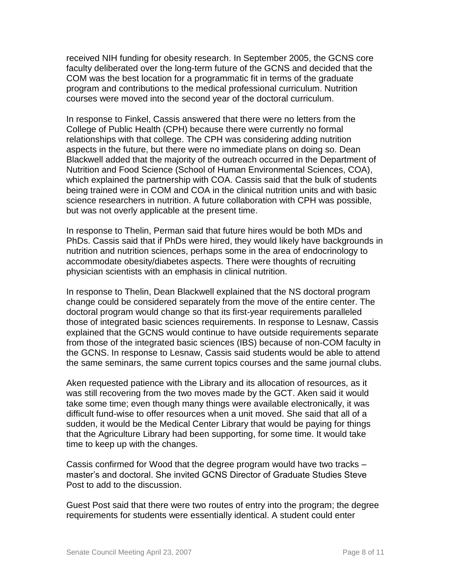received NIH funding for obesity research. In September 2005, the GCNS core faculty deliberated over the long-term future of the GCNS and decided that the COM was the best location for a programmatic fit in terms of the graduate program and contributions to the medical professional curriculum. Nutrition courses were moved into the second year of the doctoral curriculum.

In response to Finkel, Cassis answered that there were no letters from the College of Public Health (CPH) because there were currently no formal relationships with that college. The CPH was considering adding nutrition aspects in the future, but there were no immediate plans on doing so. Dean Blackwell added that the majority of the outreach occurred in the Department of Nutrition and Food Science (School of Human Environmental Sciences, COA), which explained the partnership with COA. Cassis said that the bulk of students being trained were in COM and COA in the clinical nutrition units and with basic science researchers in nutrition. A future collaboration with CPH was possible, but was not overly applicable at the present time.

In response to Thelin, Perman said that future hires would be both MDs and PhDs. Cassis said that if PhDs were hired, they would likely have backgrounds in nutrition and nutrition sciences, perhaps some in the area of endocrinology to accommodate obesity/diabetes aspects. There were thoughts of recruiting physician scientists with an emphasis in clinical nutrition.

In response to Thelin, Dean Blackwell explained that the NS doctoral program change could be considered separately from the move of the entire center. The doctoral program would change so that its first-year requirements paralleled those of integrated basic sciences requirements. In response to Lesnaw, Cassis explained that the GCNS would continue to have outside requirements separate from those of the integrated basic sciences (IBS) because of non-COM faculty in the GCNS. In response to Lesnaw, Cassis said students would be able to attend the same seminars, the same current topics courses and the same journal clubs.

Aken requested patience with the Library and its allocation of resources, as it was still recovering from the two moves made by the GCT. Aken said it would take some time; even though many things were available electronically, it was difficult fund-wise to offer resources when a unit moved. She said that all of a sudden, it would be the Medical Center Library that would be paying for things that the Agriculture Library had been supporting, for some time. It would take time to keep up with the changes.

Cassis confirmed for Wood that the degree program would have two tracks – master's and doctoral. She invited GCNS Director of Graduate Studies Steve Post to add to the discussion.

Guest Post said that there were two routes of entry into the program; the degree requirements for students were essentially identical. A student could enter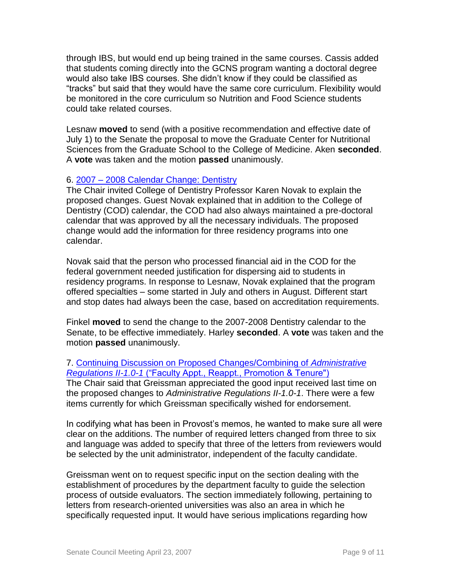through IBS, but would end up being trained in the same courses. Cassis added that students coming directly into the GCNS program wanting a doctoral degree would also take IBS courses. She didn't know if they could be classified as "tracks" but said that they would have the same core curriculum. Flexibility would be monitored in the core curriculum so Nutrition and Food Science students could take related courses.

Lesnaw **moved** to send (with a positive recommendation and effective date of July 1) to the Senate the proposal to move the Graduate Center for Nutritional Sciences from the Graduate School to the College of Medicine. Aken **seconded**. A **vote** was taken and the motion **passed** unanimously.

#### 6. 2007 – [2008 Calendar Change: Dentistry](http://www.uky.edu/USC/New/files/20070423/CAL0708%20Merged%20to%20Registrar_Complete.pdf)

The Chair invited College of Dentistry Professor Karen Novak to explain the proposed changes. Guest Novak explained that in addition to the College of Dentistry (COD) calendar, the COD had also always maintained a pre-doctoral calendar that was approved by all the necessary individuals. The proposed change would add the information for three residency programs into one calendar.

Novak said that the person who processed financial aid in the COD for the federal government needed justification for dispersing aid to students in residency programs. In response to Lesnaw, Novak explained that the program offered specialties – some started in July and others in August. Different start and stop dates had always been the case, based on accreditation requirements.

Finkel **moved** to send the change to the 2007-2008 Dentistry calendar to the Senate, to be effective immediately. Harley **seconded**. A **vote** was taken and the motion **passed** unanimously.

#### 7. [Continuing Discussion on Proposed Changes/Combining of](http://www.uky.edu/USC/New/files/20070423/AR%20II-1%200-1%20-%20Combined%20Pages%20I-IV%20_Complete.pdf) *Administrative Regulations II-1.0-1* [\("Faculty Appt., Reappt., Promotion & Tenure"\)](http://www.uky.edu/USC/New/files/20070423/AR%20II-1%200-1%20-%20Combined%20Pages%20I-IV%20_Complete.pdf)

The Chair said that Greissman appreciated the good input received last time on the proposed changes to *Administrative Regulations II-1.0-1*. There were a few items currently for which Greissman specifically wished for endorsement.

In codifying what has been in Provost's memos, he wanted to make sure all were clear on the additions. The number of required letters changed from three to six and language was added to specify that three of the letters from reviewers would be selected by the unit administrator, independent of the faculty candidate.

Greissman went on to request specific input on the section dealing with the establishment of procedures by the department faculty to guide the selection process of outside evaluators. The section immediately following, pertaining to letters from research-oriented universities was also an area in which he specifically requested input. It would have serious implications regarding how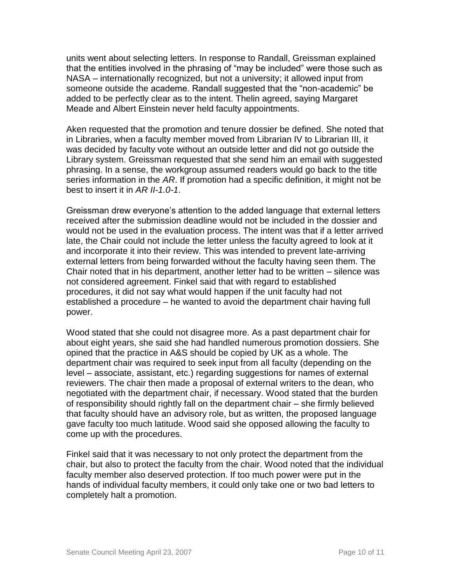units went about selecting letters. In response to Randall, Greissman explained that the entities involved in the phrasing of "may be included" were those such as NASA – internationally recognized, but not a university; it allowed input from someone outside the academe. Randall suggested that the "non-academic" be added to be perfectly clear as to the intent. Thelin agreed, saying Margaret Meade and Albert Einstein never held faculty appointments.

Aken requested that the promotion and tenure dossier be defined. She noted that in Libraries, when a faculty member moved from Librarian IV to Librarian III, it was decided by faculty vote without an outside letter and did not go outside the Library system. Greissman requested that she send him an email with suggested phrasing. In a sense, the workgroup assumed readers would go back to the title series information in the *AR*. If promotion had a specific definition, it might not be best to insert it in *AR II-1.0-1*.

Greissman drew everyone's attention to the added language that external letters received after the submission deadline would not be included in the dossier and would not be used in the evaluation process. The intent was that if a letter arrived late, the Chair could not include the letter unless the faculty agreed to look at it and incorporate it into their review. This was intended to prevent late-arriving external letters from being forwarded without the faculty having seen them. The Chair noted that in his department, another letter had to be written – silence was not considered agreement. Finkel said that with regard to established procedures, it did not say what would happen if the unit faculty had not established a procedure – he wanted to avoid the department chair having full power.

Wood stated that she could not disagree more. As a past department chair for about eight years, she said she had handled numerous promotion dossiers. She opined that the practice in A&S should be copied by UK as a whole. The department chair was required to seek input from all faculty (depending on the level – associate, assistant, etc.) regarding suggestions for names of external reviewers. The chair then made a proposal of external writers to the dean, who negotiated with the department chair, if necessary. Wood stated that the burden of responsibility should rightly fall on the department chair – she firmly believed that faculty should have an advisory role, but as written, the proposed language gave faculty too much latitude. Wood said she opposed allowing the faculty to come up with the procedures.

Finkel said that it was necessary to not only protect the department from the chair, but also to protect the faculty from the chair. Wood noted that the individual faculty member also deserved protection. If too much power were put in the hands of individual faculty members, it could only take one or two bad letters to completely halt a promotion.